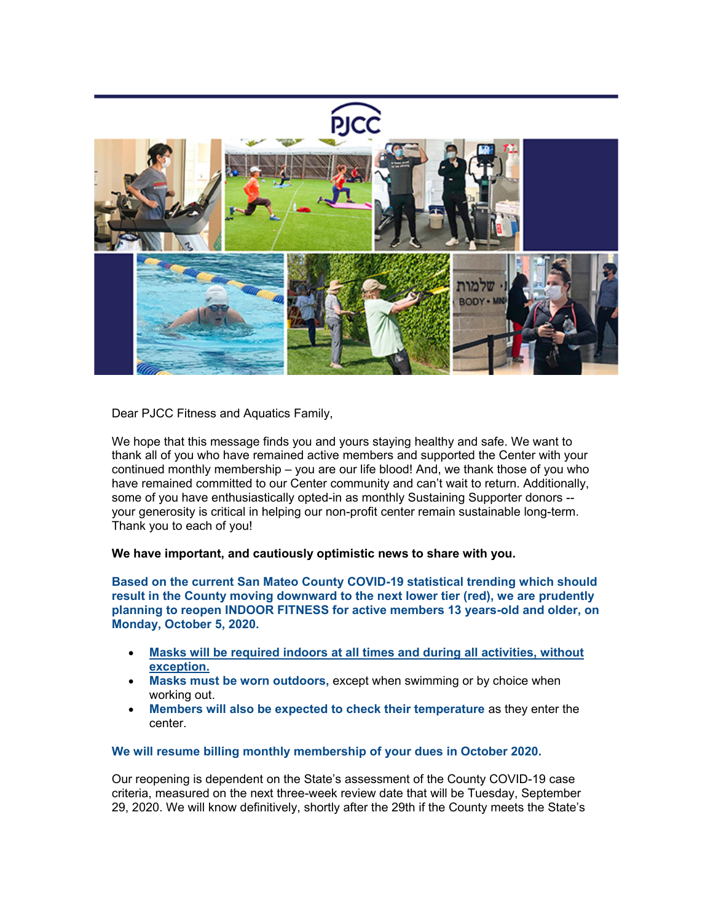

Dear PJCC Fitness and Aquatics Family,

We hope that this message finds you and yours staying healthy and safe. We want to thank all of you who have remained active members and supported the Center with your continued monthly membership – you are our life blood! And, we thank those of you who have remained committed to our Center community and can't wait to return. Additionally, some of you have enthusiastically opted-in as monthly Sustaining Supporter donors - your generosity is critical in helping our non-profit center remain sustainable long-term. Thank you to each of you!

## **We have important, and cautiously optimistic news to share with you.**

**Based on the current San Mateo County COVID-19 statistical trending which should result in the County moving downward to the next lower tier (red), we are prudently planning to reopen INDOOR FITNESS for active members 13 years-old and older, on Monday, October 5, 2020.**

- **Masks will be required indoors at all times and during all activities, without exception.**
- **Masks must be worn outdoors,** except when swimming or by choice when working out.
- **Members will also be expected to check their temperature** as they enter the center.

## **We will resume billing monthly membership of your dues in October 2020.**

Our reopening is dependent on the State's assessment of the County COVID-19 case criteria, measured on the next three-week review date that will be Tuesday, September 29, 2020. We will know definitively, shortly after the 29th if the County meets the State's